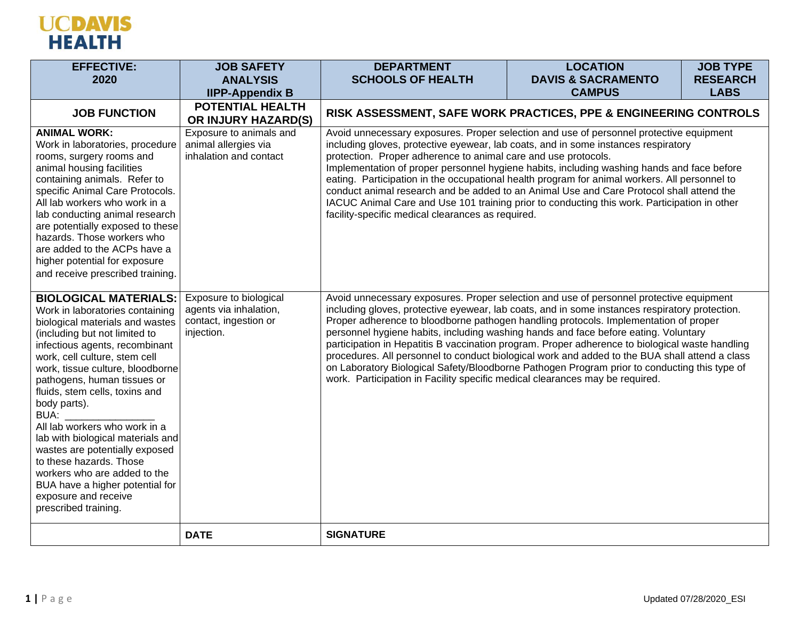

| <b>EFFECTIVE:</b><br>2020                                                                                                                                                                                                                                                                                                                                                                                                                                                                                                                                                                 | <b>JOB SAFETY</b><br><b>ANALYSIS</b>                                                    | <b>DEPARTMENT</b><br><b>SCHOOLS OF HEALTH</b>                                                                                                                                                                                                                                                                                                                                                                                                                                                                                                                                                                                                                                                                                                                 | <b>LOCATION</b><br><b>DAVIS &amp; SACRAMENTO</b> | <b>JOB TYPE</b><br><b>RESEARCH</b> |
|-------------------------------------------------------------------------------------------------------------------------------------------------------------------------------------------------------------------------------------------------------------------------------------------------------------------------------------------------------------------------------------------------------------------------------------------------------------------------------------------------------------------------------------------------------------------------------------------|-----------------------------------------------------------------------------------------|---------------------------------------------------------------------------------------------------------------------------------------------------------------------------------------------------------------------------------------------------------------------------------------------------------------------------------------------------------------------------------------------------------------------------------------------------------------------------------------------------------------------------------------------------------------------------------------------------------------------------------------------------------------------------------------------------------------------------------------------------------------|--------------------------------------------------|------------------------------------|
|                                                                                                                                                                                                                                                                                                                                                                                                                                                                                                                                                                                           | <b>IIPP-Appendix B</b>                                                                  |                                                                                                                                                                                                                                                                                                                                                                                                                                                                                                                                                                                                                                                                                                                                                               | <b>CAMPUS</b>                                    | <b>LABS</b>                        |
| <b>JOB FUNCTION</b>                                                                                                                                                                                                                                                                                                                                                                                                                                                                                                                                                                       | <b>POTENTIAL HEALTH</b><br>OR INJURY HAZARD(S)                                          | RISK ASSESSMENT, SAFE WORK PRACTICES, PPE & ENGINEERING CONTROLS                                                                                                                                                                                                                                                                                                                                                                                                                                                                                                                                                                                                                                                                                              |                                                  |                                    |
| <b>ANIMAL WORK:</b><br>Work in laboratories, procedure<br>rooms, surgery rooms and<br>animal housing facilities<br>containing animals. Refer to<br>specific Animal Care Protocols.<br>All lab workers who work in a<br>lab conducting animal research<br>are potentially exposed to these<br>hazards. Those workers who<br>are added to the ACPs have a<br>higher potential for exposure<br>and receive prescribed training.                                                                                                                                                              | Exposure to animals and<br>animal allergies via<br>inhalation and contact               | Avoid unnecessary exposures. Proper selection and use of personnel protective equipment<br>including gloves, protective eyewear, lab coats, and in some instances respiratory<br>protection. Proper adherence to animal care and use protocols.<br>Implementation of proper personnel hygiene habits, including washing hands and face before<br>eating. Participation in the occupational health program for animal workers. All personnel to<br>conduct animal research and be added to an Animal Use and Care Protocol shall attend the<br>IACUC Animal Care and Use 101 training prior to conducting this work. Participation in other<br>facility-specific medical clearances as required.                                                               |                                                  |                                    |
| <b>BIOLOGICAL MATERIALS:</b><br>Work in laboratories containing<br>biological materials and wastes<br>(including but not limited to<br>infectious agents, recombinant<br>work, cell culture, stem cell<br>work, tissue culture, bloodborne<br>pathogens, human tissues or<br>fluids, stem cells, toxins and<br>body parts).<br>BUA:<br>All lab workers who work in a<br>lab with biological materials and<br>wastes are potentially exposed<br>to these hazards. Those<br>workers who are added to the<br>BUA have a higher potential for<br>exposure and receive<br>prescribed training. | Exposure to biological<br>agents via inhalation,<br>contact, ingestion or<br>injection. | Avoid unnecessary exposures. Proper selection and use of personnel protective equipment<br>including gloves, protective eyewear, lab coats, and in some instances respiratory protection.<br>Proper adherence to bloodborne pathogen handling protocols. Implementation of proper<br>personnel hygiene habits, including washing hands and face before eating. Voluntary<br>participation in Hepatitis B vaccination program. Proper adherence to biological waste handling<br>procedures. All personnel to conduct biological work and added to the BUA shall attend a class<br>on Laboratory Biological Safety/Bloodborne Pathogen Program prior to conducting this type of<br>work. Participation in Facility specific medical clearances may be required. |                                                  |                                    |
|                                                                                                                                                                                                                                                                                                                                                                                                                                                                                                                                                                                           | <b>DATE</b>                                                                             | <b>SIGNATURE</b>                                                                                                                                                                                                                                                                                                                                                                                                                                                                                                                                                                                                                                                                                                                                              |                                                  |                                    |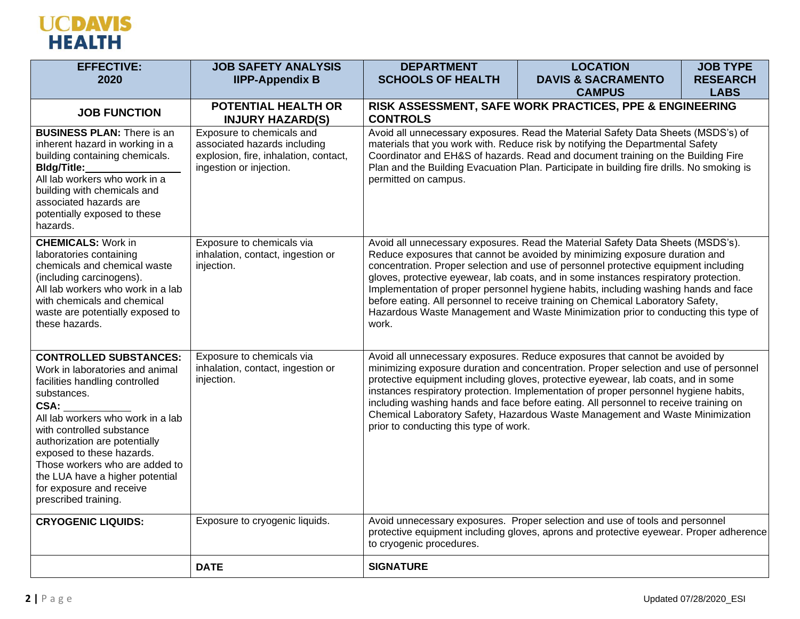

| <b>EFFECTIVE:</b>                                                                                                                                                                                                                                                                                                                                                                         | <b>JOB SAFETY ANALYSIS</b>                                                                                                    | <b>DEPARTMENT</b>                                                                                                                                                                                                                                                                                                                                                                                                                                                                                                                                                    | <b>LOCATION</b>                                                                                                                                                                                                                                                                                                                                                                                                                                                                                                                                                                                               | <b>JOB TYPE</b>                |
|-------------------------------------------------------------------------------------------------------------------------------------------------------------------------------------------------------------------------------------------------------------------------------------------------------------------------------------------------------------------------------------------|-------------------------------------------------------------------------------------------------------------------------------|----------------------------------------------------------------------------------------------------------------------------------------------------------------------------------------------------------------------------------------------------------------------------------------------------------------------------------------------------------------------------------------------------------------------------------------------------------------------------------------------------------------------------------------------------------------------|---------------------------------------------------------------------------------------------------------------------------------------------------------------------------------------------------------------------------------------------------------------------------------------------------------------------------------------------------------------------------------------------------------------------------------------------------------------------------------------------------------------------------------------------------------------------------------------------------------------|--------------------------------|
| 2020                                                                                                                                                                                                                                                                                                                                                                                      | <b>IIPP-Appendix B</b>                                                                                                        | <b>SCHOOLS OF HEALTH</b>                                                                                                                                                                                                                                                                                                                                                                                                                                                                                                                                             | <b>DAVIS &amp; SACRAMENTO</b><br><b>CAMPUS</b>                                                                                                                                                                                                                                                                                                                                                                                                                                                                                                                                                                | <b>RESEARCH</b><br><b>LABS</b> |
| <b>JOB FUNCTION</b>                                                                                                                                                                                                                                                                                                                                                                       | POTENTIAL HEALTH OR<br><b>INJURY HAZARD(S)</b>                                                                                | RISK ASSESSMENT, SAFE WORK PRACTICES, PPE & ENGINEERING<br><b>CONTROLS</b>                                                                                                                                                                                                                                                                                                                                                                                                                                                                                           |                                                                                                                                                                                                                                                                                                                                                                                                                                                                                                                                                                                                               |                                |
| <b>BUSINESS PLAN: There is an</b><br>inherent hazard in working in a<br>building containing chemicals.<br><b>Bldg/Title:</b><br>All lab workers who work in a<br>building with chemicals and<br>associated hazards are<br>potentially exposed to these<br>hazards.                                                                                                                        | Exposure to chemicals and<br>associated hazards including<br>explosion, fire, inhalation, contact,<br>ingestion or injection. | Avoid all unnecessary exposures. Read the Material Safety Data Sheets (MSDS's) of<br>materials that you work with. Reduce risk by notifying the Departmental Safety<br>Coordinator and EH&S of hazards. Read and document training on the Building Fire<br>Plan and the Building Evacuation Plan. Participate in building fire drills. No smoking is<br>permitted on campus.                                                                                                                                                                                         |                                                                                                                                                                                                                                                                                                                                                                                                                                                                                                                                                                                                               |                                |
| <b>CHEMICALS: Work in</b><br>laboratories containing<br>chemicals and chemical waste<br>(including carcinogens).<br>All lab workers who work in a lab<br>with chemicals and chemical<br>waste are potentially exposed to<br>these hazards.                                                                                                                                                | Exposure to chemicals via<br>inhalation, contact, ingestion or<br>injection.                                                  | work.                                                                                                                                                                                                                                                                                                                                                                                                                                                                                                                                                                | Avoid all unnecessary exposures. Read the Material Safety Data Sheets (MSDS's).<br>Reduce exposures that cannot be avoided by minimizing exposure duration and<br>concentration. Proper selection and use of personnel protective equipment including<br>gloves, protective eyewear, lab coats, and in some instances respiratory protection.<br>Implementation of proper personnel hygiene habits, including washing hands and face<br>before eating. All personnel to receive training on Chemical Laboratory Safety,<br>Hazardous Waste Management and Waste Minimization prior to conducting this type of |                                |
| <b>CONTROLLED SUBSTANCES:</b><br>Work in laboratories and animal<br>facilities handling controlled<br>substances.<br><b>CSA:</b><br>All lab workers who work in a lab<br>with controlled substance<br>authorization are potentially<br>exposed to these hazards.<br>Those workers who are added to<br>the LUA have a higher potential<br>for exposure and receive<br>prescribed training. | Exposure to chemicals via<br>inhalation, contact, ingestion or<br>injection.                                                  | Avoid all unnecessary exposures. Reduce exposures that cannot be avoided by<br>minimizing exposure duration and concentration. Proper selection and use of personnel<br>protective equipment including gloves, protective eyewear, lab coats, and in some<br>instances respiratory protection. Implementation of proper personnel hygiene habits,<br>including washing hands and face before eating. All personnel to receive training on<br>Chemical Laboratory Safety, Hazardous Waste Management and Waste Minimization<br>prior to conducting this type of work. |                                                                                                                                                                                                                                                                                                                                                                                                                                                                                                                                                                                                               |                                |
| <b>CRYOGENIC LIQUIDS:</b>                                                                                                                                                                                                                                                                                                                                                                 | Exposure to cryogenic liquids.                                                                                                | to cryogenic procedures.                                                                                                                                                                                                                                                                                                                                                                                                                                                                                                                                             | Avoid unnecessary exposures. Proper selection and use of tools and personnel<br>protective equipment including gloves, aprons and protective eyewear. Proper adherence                                                                                                                                                                                                                                                                                                                                                                                                                                        |                                |
|                                                                                                                                                                                                                                                                                                                                                                                           | <b>DATE</b>                                                                                                                   | <b>SIGNATURE</b>                                                                                                                                                                                                                                                                                                                                                                                                                                                                                                                                                     |                                                                                                                                                                                                                                                                                                                                                                                                                                                                                                                                                                                                               |                                |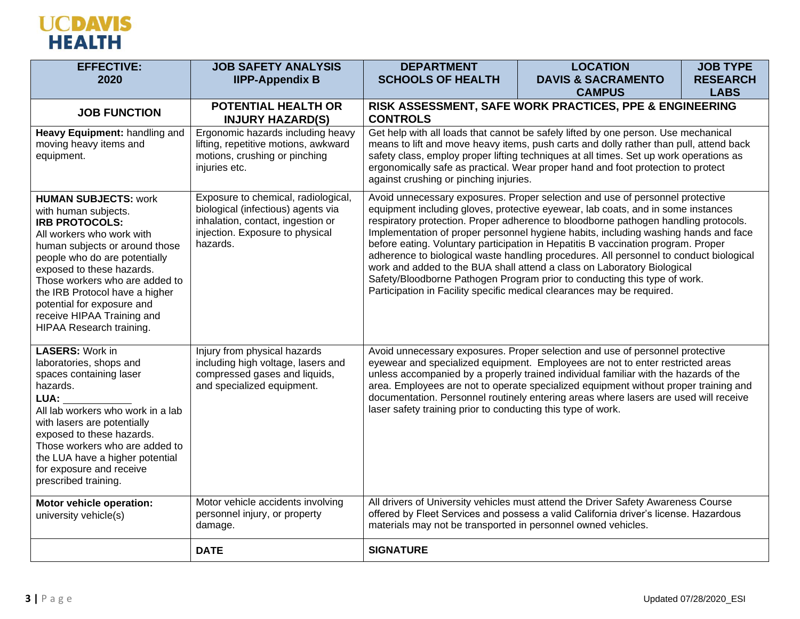

| <b>EFFECTIVE:</b>                                                                                                                                                                                                                                                                                                                                                     | <b>JOB SAFETY ANALYSIS</b>                                                                                                                                    | <b>DEPARTMENT</b>                                                                                                                                                                                                                                                                                                                                                                                                                                                                                                                                                                                                                                                                                                                                                | <b>LOCATION</b>                                                                                                                                                                                                                                                                                                                                                                                                                         | <b>JOB TYPE</b>                |
|-----------------------------------------------------------------------------------------------------------------------------------------------------------------------------------------------------------------------------------------------------------------------------------------------------------------------------------------------------------------------|---------------------------------------------------------------------------------------------------------------------------------------------------------------|------------------------------------------------------------------------------------------------------------------------------------------------------------------------------------------------------------------------------------------------------------------------------------------------------------------------------------------------------------------------------------------------------------------------------------------------------------------------------------------------------------------------------------------------------------------------------------------------------------------------------------------------------------------------------------------------------------------------------------------------------------------|-----------------------------------------------------------------------------------------------------------------------------------------------------------------------------------------------------------------------------------------------------------------------------------------------------------------------------------------------------------------------------------------------------------------------------------------|--------------------------------|
| 2020                                                                                                                                                                                                                                                                                                                                                                  | <b>IIPP-Appendix B</b>                                                                                                                                        | <b>SCHOOLS OF HEALTH</b>                                                                                                                                                                                                                                                                                                                                                                                                                                                                                                                                                                                                                                                                                                                                         | <b>DAVIS &amp; SACRAMENTO</b><br><b>CAMPUS</b>                                                                                                                                                                                                                                                                                                                                                                                          | <b>RESEARCH</b><br><b>LABS</b> |
| <b>JOB FUNCTION</b>                                                                                                                                                                                                                                                                                                                                                   | POTENTIAL HEALTH OR<br><b>INJURY HAZARD(S)</b>                                                                                                                | RISK ASSESSMENT, SAFE WORK PRACTICES, PPE & ENGINEERING<br><b>CONTROLS</b>                                                                                                                                                                                                                                                                                                                                                                                                                                                                                                                                                                                                                                                                                       |                                                                                                                                                                                                                                                                                                                                                                                                                                         |                                |
| Heavy Equipment: handling and<br>moving heavy items and<br>equipment.                                                                                                                                                                                                                                                                                                 | Ergonomic hazards including heavy<br>lifting, repetitive motions, awkward<br>motions, crushing or pinching<br>injuries etc.                                   | Get help with all loads that cannot be safely lifted by one person. Use mechanical<br>means to lift and move heavy items, push carts and dolly rather than pull, attend back<br>safety class, employ proper lifting techniques at all times. Set up work operations as<br>ergonomically safe as practical. Wear proper hand and foot protection to protect<br>against crushing or pinching injuries.                                                                                                                                                                                                                                                                                                                                                             |                                                                                                                                                                                                                                                                                                                                                                                                                                         |                                |
| <b>HUMAN SUBJECTS: work</b><br>with human subjects.<br><b>IRB PROTOCOLS:</b><br>All workers who work with<br>human subjects or around those<br>people who do are potentially<br>exposed to these hazards.<br>Those workers who are added to<br>the IRB Protocol have a higher<br>potential for exposure and<br>receive HIPAA Training and<br>HIPAA Research training. | Exposure to chemical, radiological,<br>biological (infectious) agents via<br>inhalation, contact, ingestion or<br>injection. Exposure to physical<br>hazards. | Avoid unnecessary exposures. Proper selection and use of personnel protective<br>equipment including gloves, protective eyewear, lab coats, and in some instances<br>respiratory protection. Proper adherence to bloodborne pathogen handling protocols.<br>Implementation of proper personnel hygiene habits, including washing hands and face<br>before eating. Voluntary participation in Hepatitis B vaccination program. Proper<br>adherence to biological waste handling procedures. All personnel to conduct biological<br>work and added to the BUA shall attend a class on Laboratory Biological<br>Safety/Bloodborne Pathogen Program prior to conducting this type of work.<br>Participation in Facility specific medical clearances may be required. |                                                                                                                                                                                                                                                                                                                                                                                                                                         |                                |
| <b>LASERS: Work in</b><br>laboratories, shops and<br>spaces containing laser<br>hazards.<br>LUA:<br>All lab workers who work in a lab<br>with lasers are potentially<br>exposed to these hazards.<br>Those workers who are added to<br>the LUA have a higher potential<br>for exposure and receive<br>prescribed training.                                            | Injury from physical hazards<br>including high voltage, lasers and<br>compressed gases and liquids,<br>and specialized equipment.                             | laser safety training prior to conducting this type of work.                                                                                                                                                                                                                                                                                                                                                                                                                                                                                                                                                                                                                                                                                                     | Avoid unnecessary exposures. Proper selection and use of personnel protective<br>eyewear and specialized equipment. Employees are not to enter restricted areas<br>unless accompanied by a properly trained individual familiar with the hazards of the<br>area. Employees are not to operate specialized equipment without proper training and<br>documentation. Personnel routinely entering areas where lasers are used will receive |                                |
| Motor vehicle operation:<br>university vehicle(s)                                                                                                                                                                                                                                                                                                                     | Motor vehicle accidents involving<br>personnel injury, or property<br>damage.                                                                                 | materials may not be transported in personnel owned vehicles.                                                                                                                                                                                                                                                                                                                                                                                                                                                                                                                                                                                                                                                                                                    | All drivers of University vehicles must attend the Driver Safety Awareness Course<br>offered by Fleet Services and possess a valid California driver's license. Hazardous                                                                                                                                                                                                                                                               |                                |
|                                                                                                                                                                                                                                                                                                                                                                       | <b>DATE</b>                                                                                                                                                   | <b>SIGNATURE</b>                                                                                                                                                                                                                                                                                                                                                                                                                                                                                                                                                                                                                                                                                                                                                 |                                                                                                                                                                                                                                                                                                                                                                                                                                         |                                |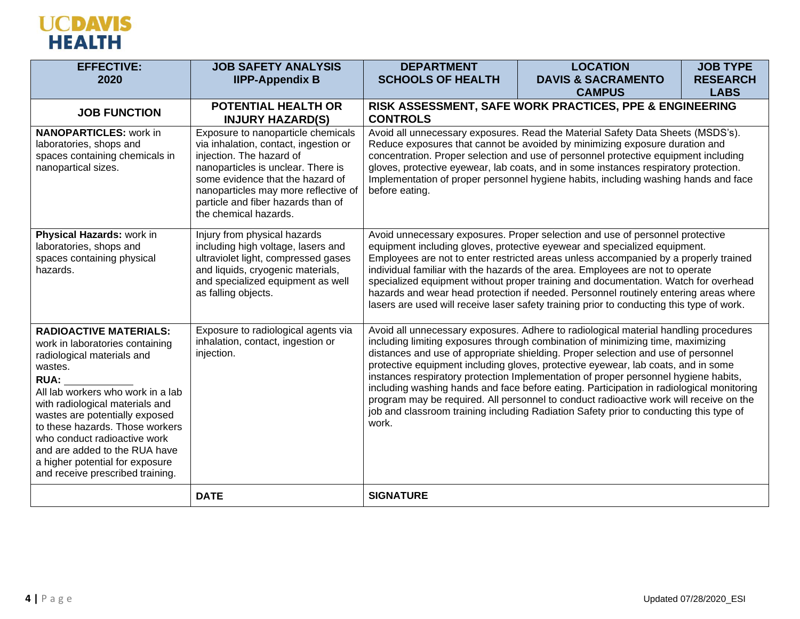

| <b>EFFECTIVE:</b>                                                                                                                                                                                                                                                                                                                                                                                             | <b>JOB SAFETY ANALYSIS</b>                                                                                                                                                                                                                                                               | <b>DEPARTMENT</b>                                                                                                                                                                                                                                                                                                                                                                                                                                      | <b>LOCATION</b>                                                                                                                                                                                                                                                                                                                                                                                                                                                                                                                                                                                                                                                                                                          | <b>JOB TYPE</b> |
|---------------------------------------------------------------------------------------------------------------------------------------------------------------------------------------------------------------------------------------------------------------------------------------------------------------------------------------------------------------------------------------------------------------|------------------------------------------------------------------------------------------------------------------------------------------------------------------------------------------------------------------------------------------------------------------------------------------|--------------------------------------------------------------------------------------------------------------------------------------------------------------------------------------------------------------------------------------------------------------------------------------------------------------------------------------------------------------------------------------------------------------------------------------------------------|--------------------------------------------------------------------------------------------------------------------------------------------------------------------------------------------------------------------------------------------------------------------------------------------------------------------------------------------------------------------------------------------------------------------------------------------------------------------------------------------------------------------------------------------------------------------------------------------------------------------------------------------------------------------------------------------------------------------------|-----------------|
| 2020                                                                                                                                                                                                                                                                                                                                                                                                          | <b>IIPP-Appendix B</b>                                                                                                                                                                                                                                                                   | <b>SCHOOLS OF HEALTH</b>                                                                                                                                                                                                                                                                                                                                                                                                                               | <b>DAVIS &amp; SACRAMENTO</b>                                                                                                                                                                                                                                                                                                                                                                                                                                                                                                                                                                                                                                                                                            | <b>RESEARCH</b> |
|                                                                                                                                                                                                                                                                                                                                                                                                               |                                                                                                                                                                                                                                                                                          |                                                                                                                                                                                                                                                                                                                                                                                                                                                        | <b>CAMPUS</b>                                                                                                                                                                                                                                                                                                                                                                                                                                                                                                                                                                                                                                                                                                            | <b>LABS</b>     |
| <b>JOB FUNCTION</b>                                                                                                                                                                                                                                                                                                                                                                                           | <b>POTENTIAL HEALTH OR</b><br><b>INJURY HAZARD(S)</b>                                                                                                                                                                                                                                    | RISK ASSESSMENT, SAFE WORK PRACTICES, PPE & ENGINEERING<br><b>CONTROLS</b>                                                                                                                                                                                                                                                                                                                                                                             |                                                                                                                                                                                                                                                                                                                                                                                                                                                                                                                                                                                                                                                                                                                          |                 |
| <b>NANOPARTICLES: work in</b><br>laboratories, shops and<br>spaces containing chemicals in<br>nanopartical sizes.                                                                                                                                                                                                                                                                                             | Exposure to nanoparticle chemicals<br>via inhalation, contact, ingestion or<br>injection. The hazard of<br>nanoparticles is unclear. There is<br>some evidence that the hazard of<br>nanoparticles may more reflective of<br>particle and fiber hazards than of<br>the chemical hazards. | Avoid all unnecessary exposures. Read the Material Safety Data Sheets (MSDS's).<br>Reduce exposures that cannot be avoided by minimizing exposure duration and<br>concentration. Proper selection and use of personnel protective equipment including<br>gloves, protective eyewear, lab coats, and in some instances respiratory protection.<br>Implementation of proper personnel hygiene habits, including washing hands and face<br>before eating. |                                                                                                                                                                                                                                                                                                                                                                                                                                                                                                                                                                                                                                                                                                                          |                 |
| Physical Hazards: work in<br>laboratories, shops and<br>spaces containing physical<br>hazards.                                                                                                                                                                                                                                                                                                                | Injury from physical hazards<br>including high voltage, lasers and<br>ultraviolet light, compressed gases<br>and liquids, cryogenic materials,<br>and specialized equipment as well<br>as falling objects.                                                                               |                                                                                                                                                                                                                                                                                                                                                                                                                                                        | Avoid unnecessary exposures. Proper selection and use of personnel protective<br>equipment including gloves, protective eyewear and specialized equipment.<br>Employees are not to enter restricted areas unless accompanied by a properly trained<br>individual familiar with the hazards of the area. Employees are not to operate<br>specialized equipment without proper training and documentation. Watch for overhead<br>hazards and wear head protection if needed. Personnel routinely entering areas where<br>lasers are used will receive laser safety training prior to conducting this type of work.                                                                                                         |                 |
| <b>RADIOACTIVE MATERIALS:</b><br>work in laboratories containing<br>radiological materials and<br>wastes.<br><b>RUA:</b><br>All lab workers who work in a lab<br>with radiological materials and<br>wastes are potentially exposed<br>to these hazards. Those workers<br>who conduct radioactive work<br>and are added to the RUA have<br>a higher potential for exposure<br>and receive prescribed training. | Exposure to radiological agents via<br>inhalation, contact, ingestion or<br>injection.                                                                                                                                                                                                   | work.                                                                                                                                                                                                                                                                                                                                                                                                                                                  | Avoid all unnecessary exposures. Adhere to radiological material handling procedures<br>including limiting exposures through combination of minimizing time, maximizing<br>distances and use of appropriate shielding. Proper selection and use of personnel<br>protective equipment including gloves, protective eyewear, lab coats, and in some<br>instances respiratory protection Implementation of proper personnel hygiene habits,<br>including washing hands and face before eating. Participation in radiological monitoring<br>program may be required. All personnel to conduct radioactive work will receive on the<br>job and classroom training including Radiation Safety prior to conducting this type of |                 |
|                                                                                                                                                                                                                                                                                                                                                                                                               | <b>DATE</b>                                                                                                                                                                                                                                                                              | <b>SIGNATURE</b>                                                                                                                                                                                                                                                                                                                                                                                                                                       |                                                                                                                                                                                                                                                                                                                                                                                                                                                                                                                                                                                                                                                                                                                          |                 |